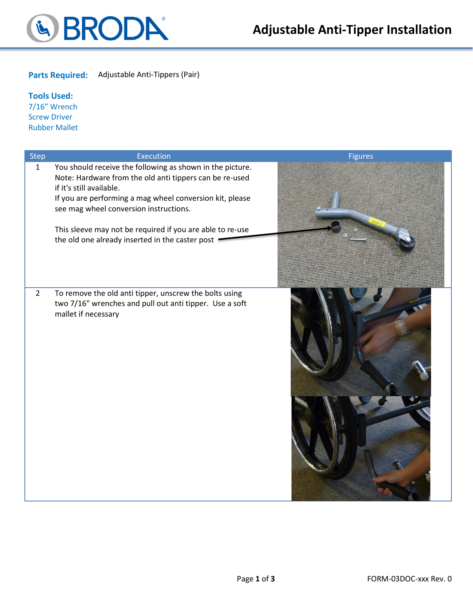

**Parts Required:** Adjustable Anti-Tippers (Pair)

**Tools Used:** 7/16" Wrench Screw Driver Rubber Mallet

| <b>Step</b>    | Execution                                                                                                                                                                                                                                              | <b>Figures</b> |
|----------------|--------------------------------------------------------------------------------------------------------------------------------------------------------------------------------------------------------------------------------------------------------|----------------|
| $\mathbf{1}$   | You should receive the following as shown in the picture.<br>Note: Hardware from the old anti tippers can be re-used<br>if it's still available.<br>If you are performing a mag wheel conversion kit, please<br>see mag wheel conversion instructions. |                |
|                | This sleeve may not be required if you are able to re-use                                                                                                                                                                                              |                |
|                | the old one already inserted in the caster post                                                                                                                                                                                                        |                |
| $\overline{2}$ | To remove the old anti tipper, unscrew the bolts using<br>two 7/16" wrenches and pull out anti tipper. Use a soft<br>mallet if necessary                                                                                                               |                |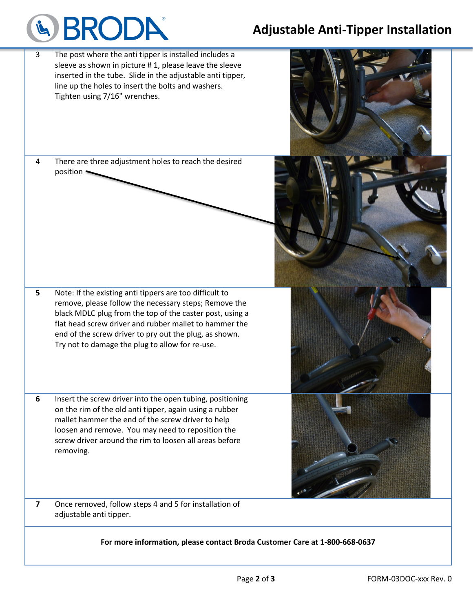## **Adjustable Anti-Tipper Installation**